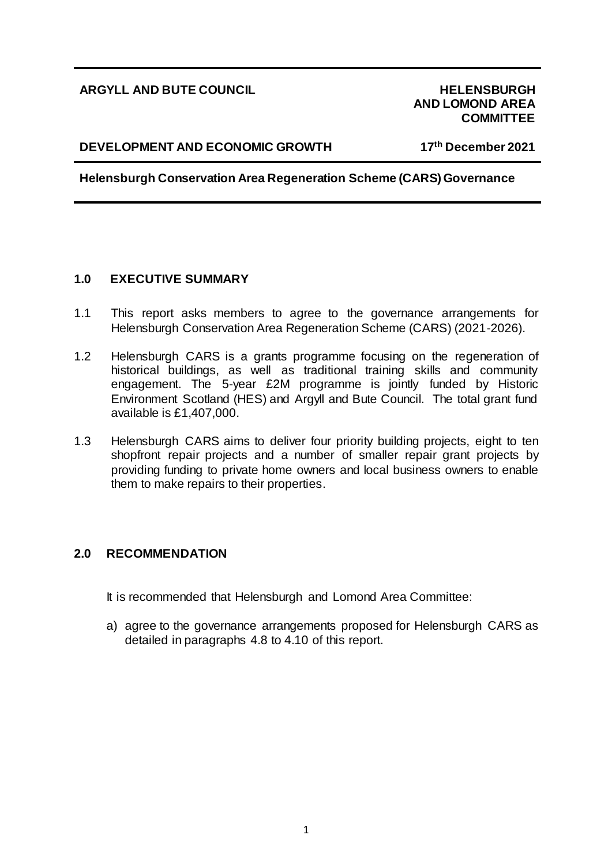# **ARGYLL AND BUTE COUNCIL HELENSBURGH**

# **AND LOMOND AREA COMMITTEE**

#### **DEVELOPMENT AND ECONOMIC GROWTH 17**

**th December 2021** 

**Helensburgh Conservation Area Regeneration Scheme (CARS) Governance**

# **1.0 EXECUTIVE SUMMARY**

- 1.1 This report asks members to agree to the governance arrangements for Helensburgh Conservation Area Regeneration Scheme (CARS) (2021-2026).
- 1.2 Helensburgh CARS is a grants programme focusing on the regeneration of historical buildings, as well as traditional training skills and community engagement. The 5-year £2M programme is jointly funded by Historic Environment Scotland (HES) and Argyll and Bute Council. The total grant fund available is £1,407,000.
- 1.3 Helensburgh CARS aims to deliver four priority building projects, eight to ten shopfront repair projects and a number of smaller repair grant projects by providing funding to private home owners and local business owners to enable them to make repairs to their properties.

# **2.0 RECOMMENDATION**

It is recommended that Helensburgh and Lomond Area Committee:

a) agree to the governance arrangements proposed for Helensburgh CARS as detailed in paragraphs 4.8 to 4.10 of this report.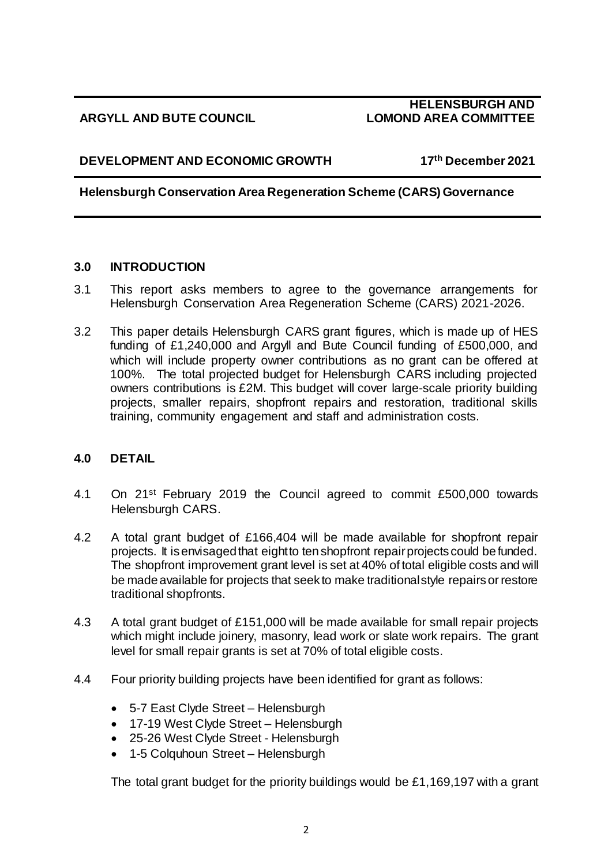# **ARGYLL AND BUTE COUNCIL**

# **HELENSBURGH AND LOMOND AREA COMMITTEE**

# **DEVELOPMENT AND ECONOMIC GROWTH 17**

**th December 2021** 

# **Helensburgh Conservation Area Regeneration Scheme (CARS) Governance**

#### **3.0 INTRODUCTION**

- 3.1 This report asks members to agree to the governance arrangements for Helensburgh Conservation Area Regeneration Scheme (CARS) 2021-2026.
- 3.2 This paper details Helensburgh CARS grant figures, which is made up of HES funding of £1,240,000 and Argyll and Bute Council funding of £500,000, and which will include property owner contributions as no grant can be offered at 100%. The total projected budget for Helensburgh CARS including projected owners contributions is £2M. This budget will cover large-scale priority building projects, smaller repairs, shopfront repairs and restoration, traditional skills training, community engagement and staff and administration costs.

# **4.0 DETAIL**

- 4.1 On 21st February 2019 the Council agreed to commit £500,000 towards Helensburgh CARS.
- 4.2 A total grant budget of £166,404 will be made available for shopfront repair projects. It is envisaged that eight to ten shopfront repair projects could be funded. The shopfront improvement grant level is set at 40% of total eligible costs and will be made available for projects that seek to make traditional style repairs or restore traditional shopfronts.
- 4.3 A total grant budget of £151,000 will be made available for small repair projects which might include joinery, masonry, lead work or slate work repairs. The grant level for small repair grants is set at 70% of total eligible costs.
- 4.4 Four priority building projects have been identified for grant as follows:
	- 5-7 East Clyde Street Helensburgh
	- 17-19 West Clyde Street Helensburgh
	- 25-26 West Clyde Street Helensburgh
	- 1-5 Colquhoun Street Helensburgh

The total grant budget for the priority buildings would be £1,169,197 with a grant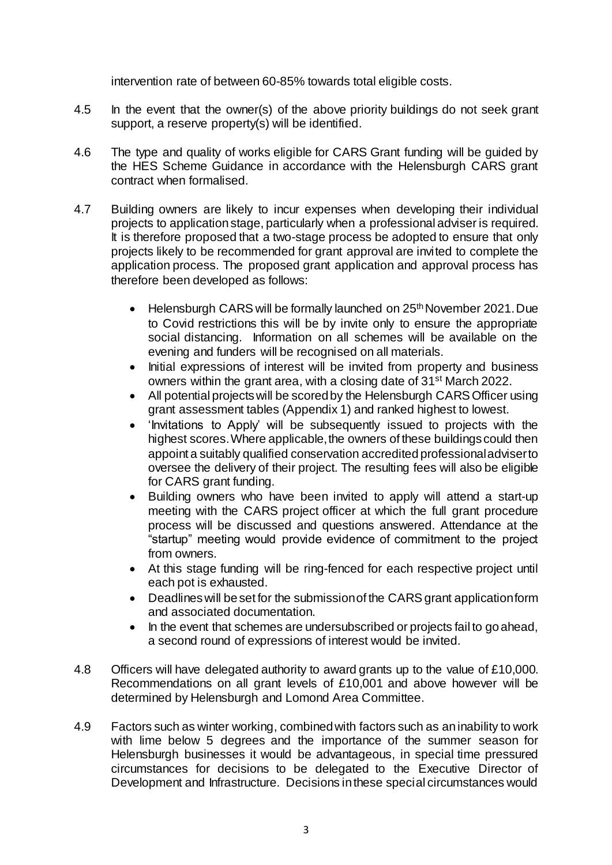intervention rate of between 60-85% towards total eligible costs.

- 4.5 In the event that the owner(s) of the above priority buildings do not seek grant support, a reserve property(s) will be identified.
- 4.6 The type and quality of works eligible for CARS Grant funding will be guided by the HES Scheme Guidance in accordance with the Helensburgh CARS grant contract when formalised.
- 4.7 Building owners are likely to incur expenses when developing their individual projects to application stage, particularly when a professional adviser is required. It is therefore proposed that a two-stage process be adopted to ensure that only projects likely to be recommended for grant approval are invited to complete the application process. The proposed grant application and approval process has therefore been developed as follows:
	- Helensburgh CARS will be formally launched on 25<sup>th</sup> November 2021. Due to Covid restrictions this will be by invite only to ensure the appropriate social distancing. Information on all schemes will be available on the evening and funders will be recognised on all materials.
	- Initial expressions of interest will be invited from property and business owners within the grant area, with a closing date of 31st March 2022.
	- All potential projects will be scored by the Helensburgh CARS Officer using grant assessment tables (Appendix 1) and ranked highest to lowest.
	- 'Invitations to Apply' will be subsequently issued to projects with the highest scores.Where applicable, the owners of these buildings could then appoint a suitably qualified conservation accredited professional adviser to oversee the delivery of their project. The resulting fees will also be eligible for CARS grant funding.
	- Building owners who have been invited to apply will attend a start-up meeting with the CARS project officer at which the full grant procedure process will be discussed and questions answered. Attendance at the "startup" meeting would provide evidence of commitment to the project from owners.
	- At this stage funding will be ring-fenced for each respective project until each pot is exhausted.
	- Deadlines will be set for the submission of the CARS grant application form and associated documentation.
	- In the event that schemes are undersubscribed or projects fail to go ahead, a second round of expressions of interest would be invited.
- 4.8 Officers will have delegated authority to award grants up to the value of £10,000. Recommendations on all grant levels of £10,001 and above however will be determined by Helensburgh and Lomond Area Committee.
- 4.9 Factors such as winter working, combined with factors such as an inability to work with lime below 5 degrees and the importance of the summer season for Helensburgh businesses it would be advantageous, in special time pressured circumstances for decisions to be delegated to the Executive Director of Development and Infrastructure. Decisions in these special circumstances would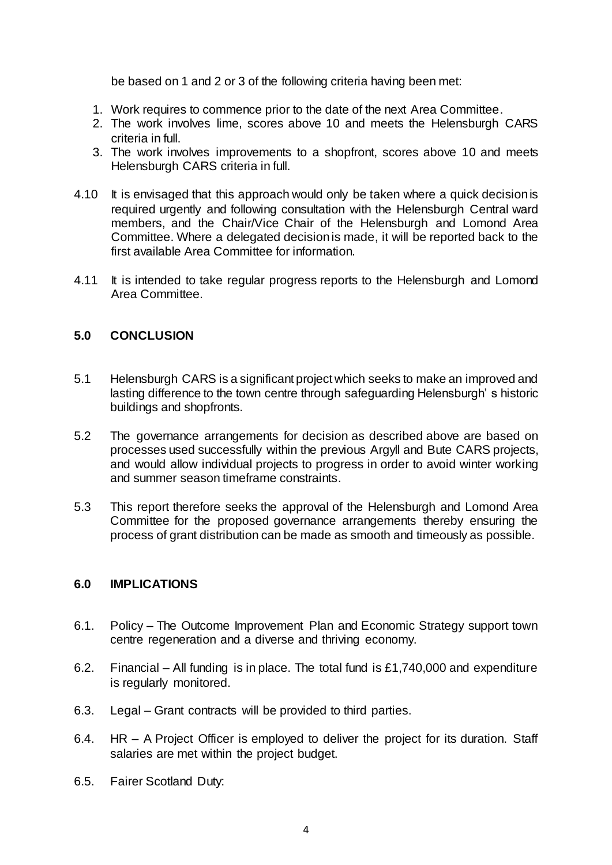be based on 1 and 2 or 3 of the following criteria having been met:

- 1. Work requires to commence prior to the date of the next Area Committee.
- 2. The work involves lime, scores above 10 and meets the Helensburgh CARS criteria in full.
- 3. The work involves improvements to a shopfront, scores above 10 and meets Helensburgh CARS criteria in full.
- 4.10 It is envisaged that this approach would only be taken where a quick decision is required urgently and following consultation with the Helensburgh Central ward members, and the Chair/Vice Chair of the Helensburgh and Lomond Area Committee. Where a delegated decision is made, it will be reported back to the first available Area Committee for information.
- 4.11 It is intended to take regular progress reports to the Helensburgh and Lomond Area Committee.

# **5.0 CONCLUSION**

- 5.1 Helensburgh CARS is a significant project which seeks to make an improved and lasting difference to the town centre through safeguarding Helensburgh' s historic buildings and shopfronts.
- 5.2 The governance arrangements for decision as described above are based on processes used successfully within the previous Argyll and Bute CARS projects, and would allow individual projects to progress in order to avoid winter working and summer season timeframe constraints.
- 5.3 This report therefore seeks the approval of the Helensburgh and Lomond Area Committee for the proposed governance arrangements thereby ensuring the process of grant distribution can be made as smooth and timeously as possible.

#### **6.0 IMPLICATIONS**

- 6.1. Policy The Outcome Improvement Plan and Economic Strategy support town centre regeneration and a diverse and thriving economy.
- 6.2. Financial All funding is in place. The total fund is  $£1,740,000$  and expenditure is regularly monitored.
- 6.3. Legal Grant contracts will be provided to third parties.
- 6.4. HR A Project Officer is employed to deliver the project for its duration. Staff salaries are met within the project budget.
- 6.5. Fairer Scotland Duty: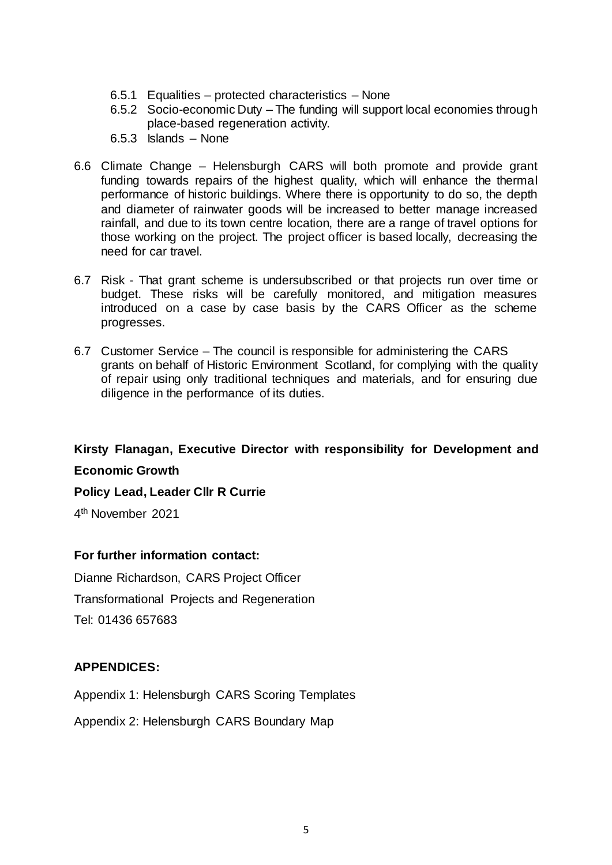- 6.5.1 Equalities protected characteristics None
- 6.5.2 Socio-economic Duty The funding will support local economies through place-based regeneration activity.
- 6.5.3 Islands None
- 6.6 Climate Change Helensburgh CARS will both promote and provide grant funding towards repairs of the highest quality, which will enhance the thermal performance of historic buildings. Where there is opportunity to do so, the depth and diameter of rainwater goods will be increased to better manage increased rainfall, and due to its town centre location, there are a range of travel options for those working on the project. The project officer is based locally, decreasing the need for car travel.
- 6.7 Risk That grant scheme is undersubscribed or that projects run over time or budget. These risks will be carefully monitored, and mitigation measures introduced on a case by case basis by the CARS Officer as the scheme progresses.
- 6.7 Customer Service The council is responsible for administering the CARS grants on behalf of Historic Environment Scotland, for complying with the quality of repair using only traditional techniques and materials, and for ensuring due diligence in the performance of its duties.

**Kirsty Flanagan, Executive Director with responsibility for Development and Economic Growth**

**Policy Lead, Leader Cllr R Currie** 

4 th November 2021

#### **For further information contact:**

Dianne Richardson, CARS Project Officer Transformational Projects and Regeneration Tel: 01436 657683

# **APPENDICES:**

Appendix 1: Helensburgh CARS Scoring Templates

Appendix 2: Helensburgh CARS Boundary Map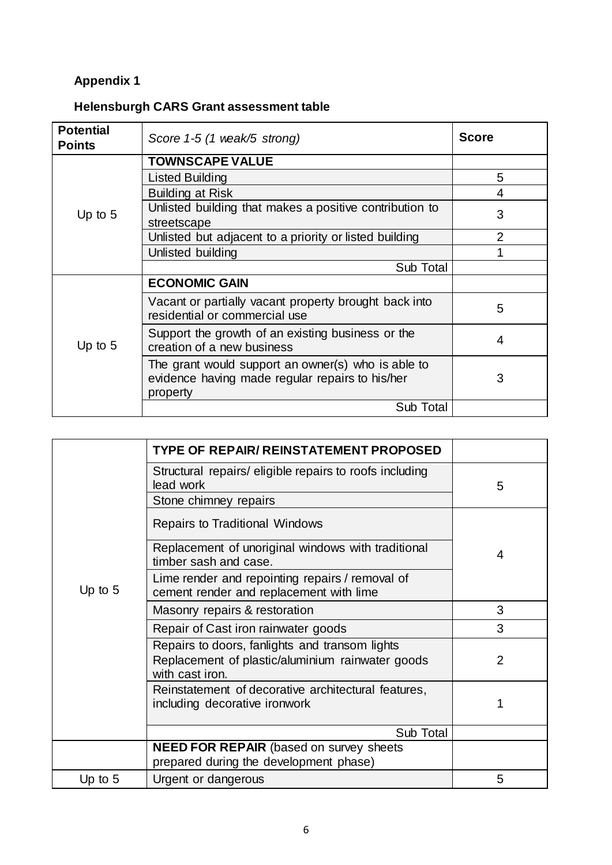# **Appendix 1**

# **Helensburgh CARS Grant assessment table**

| <b>Potential</b><br><b>Points</b> | Score 1-5 (1 weak/5 strong)                                                                                       | <b>Score</b>   |
|-----------------------------------|-------------------------------------------------------------------------------------------------------------------|----------------|
| Up to $5$                         | <b>TOWNSCAPE VALUE</b>                                                                                            |                |
|                                   | Listed Building                                                                                                   | 5              |
|                                   | <b>Building at Risk</b>                                                                                           | 4              |
|                                   | Unlisted building that makes a positive contribution to<br>streetscape                                            | 3              |
|                                   | Unlisted but adjacent to a priority or listed building                                                            | $\overline{2}$ |
|                                   | Unlisted building                                                                                                 |                |
|                                   | Sub Total                                                                                                         |                |
| Up to $5$                         | <b>ECONOMIC GAIN</b>                                                                                              |                |
|                                   | Vacant or partially vacant property brought back into<br>residential or commercial use                            | 5              |
|                                   | Support the growth of an existing business or the<br>creation of a new business                                   | 4              |
|                                   | The grant would support an owner(s) who is able to<br>evidence having made regular repairs to his/her<br>property | 3              |
|                                   | Sub Total                                                                                                         |                |

|           | <b>TYPE OF REPAIR/ REINSTATEMENT PROPOSED</b>                                                                         |                |
|-----------|-----------------------------------------------------------------------------------------------------------------------|----------------|
| Up to $5$ | Structural repairs/ eligible repairs to roofs including<br>lead work                                                  | 5              |
|           | Stone chimney repairs                                                                                                 |                |
|           | <b>Repairs to Traditional Windows</b>                                                                                 |                |
|           | Replacement of unoriginal windows with traditional<br>timber sash and case.                                           | 4              |
|           | Lime render and repointing repairs / removal of<br>cement render and replacement with lime                            |                |
|           | Masonry repairs & restoration                                                                                         | 3              |
|           | Repair of Cast iron rainwater goods                                                                                   | 3              |
|           | Repairs to doors, fanlights and transom lights<br>Replacement of plastic/aluminium rainwater goods<br>with cast iron. | $\overline{2}$ |
|           | Reinstatement of decorative architectural features,<br>including decorative ironwork                                  |                |
|           | Sub Total                                                                                                             |                |
|           | <b>NEED FOR REPAIR</b> (based on survey sheets                                                                        |                |
|           | prepared during the development phase)                                                                                |                |
| Up to $5$ | Urgent or dangerous                                                                                                   | 5              |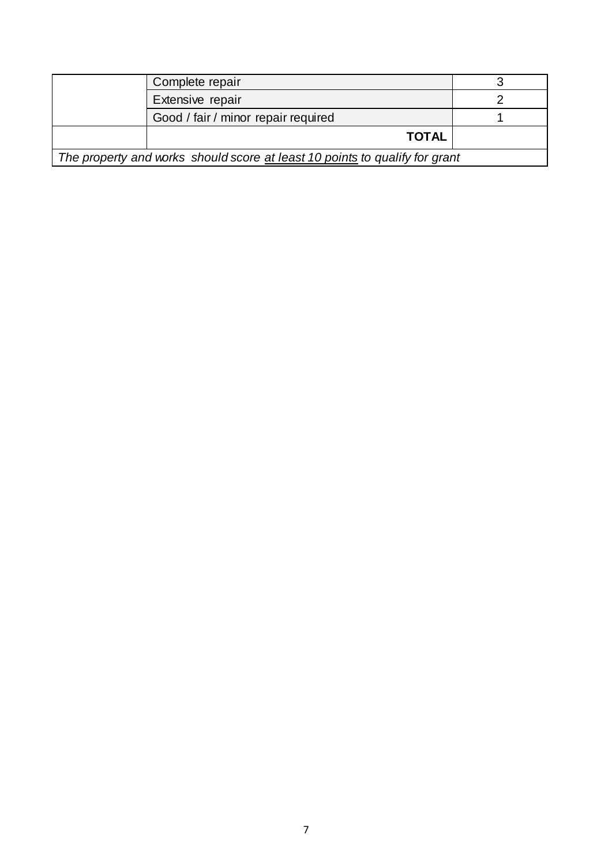|                                                                             | Complete repair                     |  |  |
|-----------------------------------------------------------------------------|-------------------------------------|--|--|
|                                                                             | Extensive repair                    |  |  |
|                                                                             | Good / fair / minor repair required |  |  |
|                                                                             | <b>TOTAL</b>                        |  |  |
| The property and works should score at least 10 points to qualify for grant |                                     |  |  |